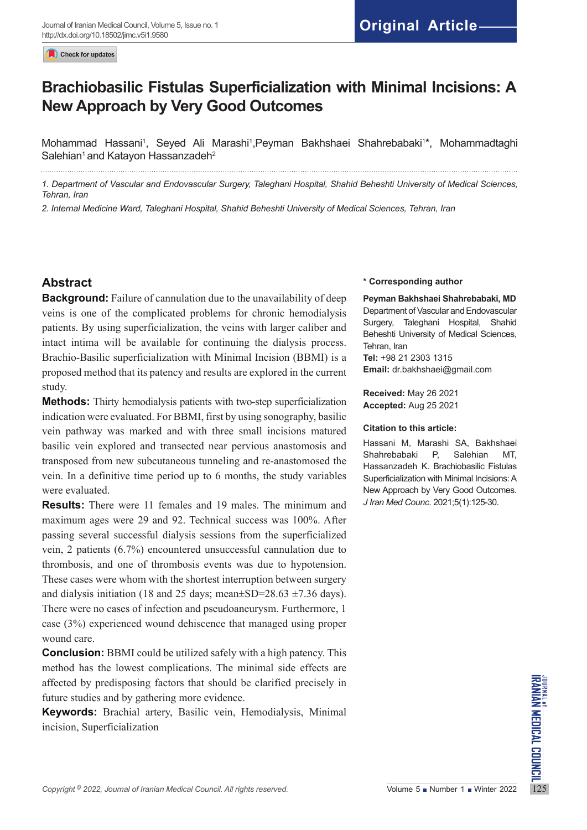Check for updates

# **Brachiobasilic Fistulas Superficialization with Minimal Incisions: A New Approach by Very Good Outcomes**

Mohammad Hassani<sup>1</sup>, Seyed Ali Marashi<sup>1</sup>,Peyman Bakhshaei Shahrebabaki<sup>1</sup>\*, Mohammadtaghi Salehian<sup>1</sup> and Katayon Hassanzadeh<sup>2</sup>

*1. Department of Vascular and Endovascular Surgery, Taleghani Hospital, Shahid Beheshti University of Medical Sciences, Tehran, Iran*

*2. Internal Medicine Ward, Taleghani Hospital, Shahid Beheshti University of Medical Sciences, Tehran, Iran*

# **Abstract**

**Background:** Failure of cannulation due to the unavailability of deep veins is one of the complicated problems for chronic hemodialysis patients. By using superficialization, the veins with larger caliber and intact intima will be available for continuing the dialysis process. Brachio-Basilic superficialization with Minimal Incision (BBMI) is a proposed method that its patency and results are explored in the current study.

**Methods:** Thirty hemodialysis patients with two-step superficialization indication were evaluated. For BBMI, first by using sonography, basilic vein pathway was marked and with three small incisions matured basilic vein explored and transected near pervious anastomosis and transposed from new subcutaneous tunneling and re-anastomosed the vein. In a definitive time period up to 6 months, the study variables were evaluated.

**Results:** There were 11 females and 19 males. The minimum and maximum ages were 29 and 92. Technical success was 100%. After passing several successful dialysis sessions from the superficialized vein, 2 patients (6.7%) encountered unsuccessful cannulation due to thrombosis, and one of thrombosis events was due to hypotension. These cases were whom with the shortest interruption between surgery and dialysis initiation (18 and 25 days; mean $\pm$ SD=28.63  $\pm$ 7.36 days). There were no cases of infection and pseudoaneurysm. Furthermore, 1 case (3%) experienced wound dehiscence that managed using proper wound care.

*Copyright* <sup>9</sup> 2022, *Journal of Iranian Medical Council. All rights reserved.<br>
Copyright<sup>9</sup> 2022, <i>Journal of Iranian Medical Council. All rights reserved.* Volume 5 Number 1 Number 1 Winter 2022<br>
The Sumber 1 Winter 202 **Conclusion:** BBMI could be utilized safely with a high patency. This method has the lowest complications. The minimal side effects are affected by predisposing factors that should be clarified precisely in future studies and by gathering more evidence.

**Keywords:** Brachial artery, Basilic vein, Hemodialysis, Minimal incision, Superficialization

#### **\* Corresponding author**

**Peyman Bakhshaei Shahrebabaki, MD** Department of Vascular and Endovascular Surgery, Taleghani Hospital, Shahid Beheshti University of Medical Sciences, Tehran, Iran **Tel:** +98 21 2303 1315 **Email:** dr.bakhshaei@gmail.com

**Received:** May 26 2021 **Accepted:** Aug 25 2021

#### **Citation to this article:**

Hassani M, Marashi SA, Bakhshaei Shahrebabaki P, Salehian MT, Hassanzadeh K. Brachiobasilic Fistulas Superficialization with Minimal Incisions: A New Approach by Very Good Outcomes. *J Iran Med Counc*. 2021;5(1):125-30.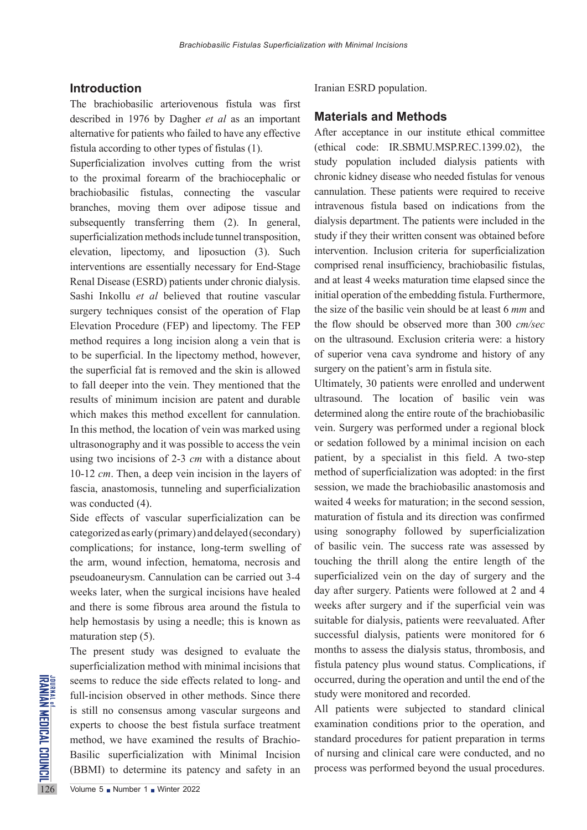#### **Introduction**

The brachiobasilic arteriovenous fistula was first described in 1976 by Dagher *et al* as an important alternative for patients who failed to have any effective fistula according to other types of fistulas (1).

Superficialization involves cutting from the wrist to the proximal forearm of the brachiocephalic or brachiobasilic fistulas, connecting the vascular branches, moving them over adipose tissue and subsequently transferring them (2). In general, superficialization methods include tunnel transposition, elevation, lipectomy, and liposuction (3). Such interventions are essentially necessary for End-Stage Renal Disease (ESRD) patients under chronic dialysis. Sashi Inkollu *et al* believed that routine vascular surgery techniques consist of the operation of Flap Elevation Procedure (FEP) and lipectomy. The FEP method requires a long incision along a vein that is to be superficial. In the lipectomy method, however, the superficial fat is removed and the skin is allowed to fall deeper into the vein. They mentioned that the results of minimum incision are patent and durable which makes this method excellent for cannulation. In this method, the location of vein was marked using ultrasonography and it was possible to access the vein using two incisions of 2-3 *cm* with a distance about 10-12 *cm*. Then, a deep vein incision in the layers of fascia, anastomosis, tunneling and superficialization was conducted (4).

Side effects of vascular superficialization can be categorized as early (primary) and delayed (secondary) complications; for instance, long-term swelling of the arm, wound infection, hematoma, necrosis and pseudoaneurysm. Cannulation can be carried out 3-4 weeks later, when the surgical incisions have healed and there is some fibrous area around the fistula to help hemostasis by using a needle; this is known as maturation step (5).

SERIES SEE SERIES SEE SERIES SEE SERIES SERIES SERIES SERIES SERIES SERIES SERIES SERIES SERIES SERIES SERIES SERIES SERIES SERIES SERIES SERIES SERIES SERIES SERIES SERIES SERIES SERIES SERIES SERIES SERIES SERIES SERIES The present study was designed to evaluate the superficialization method with minimal incisions that seems to reduce the side effects related to long- and full-incision observed in other methods. Since there is still no consensus among vascular surgeons and experts to choose the best fistula surface treatment method, we have examined the results of Brachio-Basilic superficialization with Minimal Incision (BBMI) to determine its patency and safety in an Iranian ESRD population.

#### **Materials and Methods**

After acceptance in our institute ethical committee (ethical code: IR.SBMU.MSP.REC.1399.02), the study population included dialysis patients with chronic kidney disease who needed fistulas for venous cannulation. These patients were required to receive intravenous fistula based on indications from the dialysis department. The patients were included in the study if they their written consent was obtained before intervention. Inclusion criteria for superficialization comprised renal insufficiency, brachiobasilic fistulas, and at least 4 weeks maturation time elapsed since the initial operation of the embedding fistula. Furthermore, the size of the basilic vein should be at least 6 *mm* and the flow should be observed more than 300 *cm/sec* on the ultrasound. Exclusion criteria were: a history of superior vena cava syndrome and history of any surgery on the patient's arm in fistula site.

Ultimately, 30 patients were enrolled and underwent ultrasound. The location of basilic vein was determined along the entire route of the brachiobasilic vein. Surgery was performed under a regional block or sedation followed by a minimal incision on each patient, by a specialist in this field. A two-step method of superficialization was adopted: in the first session, we made the brachiobasilic anastomosis and waited 4 weeks for maturation; in the second session, maturation of fistula and its direction was confirmed using sonography followed by superficialization of basilic vein. The success rate was assessed by touching the thrill along the entire length of the superficialized vein on the day of surgery and the day after surgery. Patients were followed at 2 and 4 weeks after surgery and if the superficial vein was suitable for dialysis, patients were reevaluated. After successful dialysis, patients were monitored for 6 months to assess the dialysis status, thrombosis, and fistula patency plus wound status. Complications, if occurred, during the operation and until the end of the study were monitored and recorded.

All patients were subjected to standard clinical examination conditions prior to the operation, and standard procedures for patient preparation in terms of nursing and clinical care were conducted, and no process was performed beyond the usual procedures.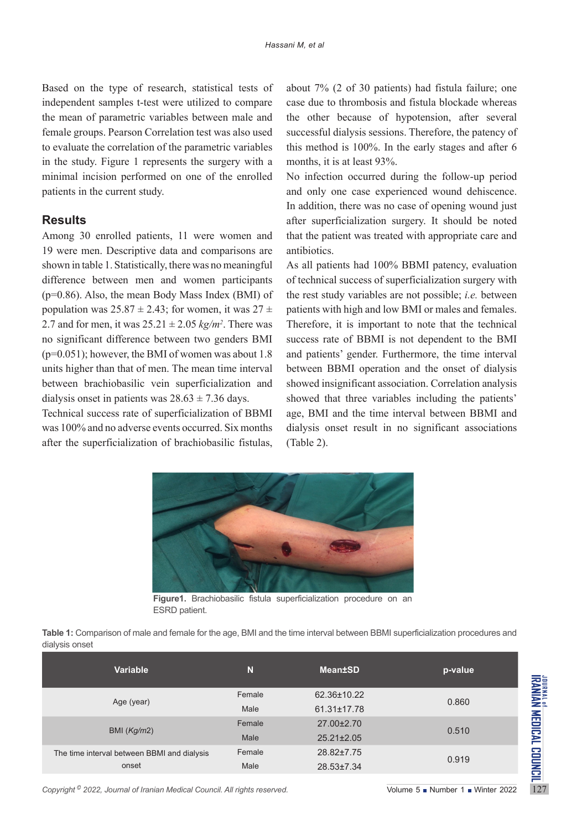Based on the type of research, statistical tests of independent samples t-test were utilized to compare the mean of parametric variables between male and female groups. Pearson Correlation test was also used to evaluate the correlation of the parametric variables in the study. Figure 1 represents the surgery with a minimal incision performed on one of the enrolled patients in the current study.

### **Results**

Among 30 enrolled patients, 11 were women and 19 were men. Descriptive data and comparisons are shown in table 1. Statistically, there was no meaningful difference between men and women participants (p=0.86). Also, the mean Body Mass Index (BMI) of population was  $25.87 \pm 2.43$ ; for women, it was  $27 \pm$ 2.7 and for men, it was  $25.21 \pm 2.05$   $kg/m^2$ . There was no significant difference between two genders BMI  $(p=0.051)$ ; however, the BMI of women was about 1.8 units higher than that of men. The mean time interval between brachiobasilic vein superficialization and dialysis onset in patients was  $28.63 \pm 7.36$  days.

Technical success rate of superficialization of BBMI was 100% and no adverse events occurred. Six months after the superficialization of brachiobasilic fistulas,

about 7% (2 of 30 patients) had fistula failure; one case due to thrombosis and fistula blockade whereas the other because of hypotension, after several successful dialysis sessions. Therefore, the patency of this method is 100%. In the early stages and after 6 months, it is at least 93%.

No infection occurred during the follow-up period and only one case experienced wound dehiscence. In addition, there was no case of opening wound just after superficialization surgery. It should be noted that the patient was treated with appropriate care and antibiotics.

As all patients had 100% BBMI patency, evaluation of technical success of superficialization surgery with the rest study variables are not possible; *i.e.* between patients with high and low BMI or males and females. Therefore, it is important to note that the technical success rate of BBMI is not dependent to the BMI and patients' gender. Furthermore, the time interval between BBMI operation and the onset of dialysis showed insignificant association. Correlation analysis showed that three variables including the patients' age, BMI and the time interval between BBMI and dialysis onset result in no significant associations (Table 2).



**Figure1.** Brachiobasilic fistula superficialization procedure on an ESRD patient.

| Table 1: Comparison of male and female for the age, BMI and the time interval between BBMI superficialization procedures and |  |  |  |
|------------------------------------------------------------------------------------------------------------------------------|--|--|--|
| dialysis onset                                                                                                               |  |  |  |

| <b>Variable</b>                             | N      | <b>Mean</b> ±SD   | p-value |  |
|---------------------------------------------|--------|-------------------|---------|--|
|                                             | Female | 62.36±10.22       | 0.860   |  |
| Age (year)                                  | Male   | $61.31 \pm 17.78$ |         |  |
| BMI $(Kg/m2)$                               | Female | 27.00±2.70        | 0.510   |  |
|                                             | Male   | $25.21 \pm 2.05$  |         |  |
| The time interval between BBMI and dialysis | Female | 28.82±7.75        | 0.919   |  |
| onset                                       | Male   | 28.53±7.34        |         |  |
|                                             |        |                   |         |  |

*Copyright* 2022, Journal of Iranian Medical Council. All rights reserved. Volume 5 Number 1 Number 1 Winter 2022 127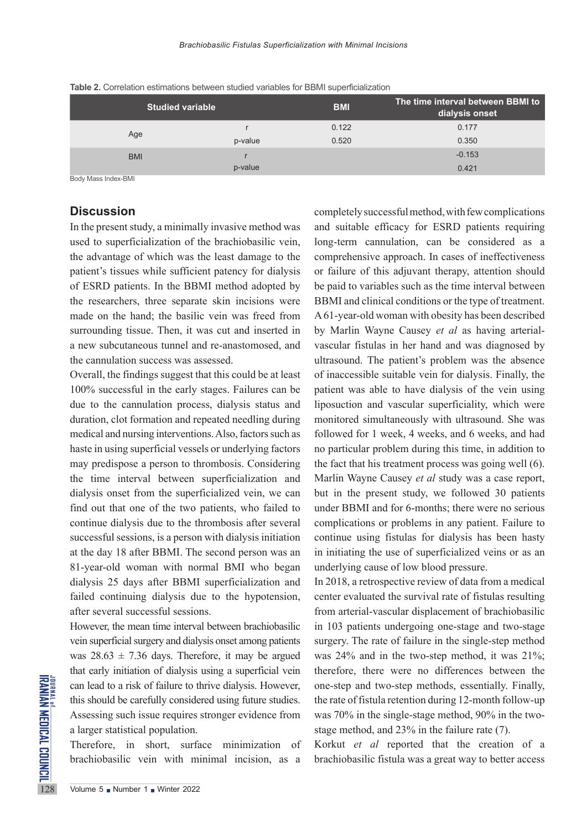| <b>Studied variable</b> |         | <b>BMI</b> | The time interval between BBMI to<br>dialysis onset |
|-------------------------|---------|------------|-----------------------------------------------------|
| Age                     |         | 0.122      | 0.177                                               |
|                         | p-value | 0.520      | 0.350                                               |
| <b>BMI</b>              |         |            | $-0.153$                                            |
|                         | p-value |            | 0.421                                               |

**Table 2.** Correlation estimations between studied variables for BBMI superficialization

Body Mass Index-BMI

### **Discussion**

In the present study, a minimally invasive method was used to superficialization of the brachiobasilic vein, the advantage of which was the least damage to the patient's tissues while sufficient patency for dialysis of ESRD patients. In the BBMI method adopted by the researchers, three separate skin incisions were made on the hand; the basilic vein was freed from surrounding tissue. Then, it was cut and inserted in a new subcutaneous tunnel and re-anastomosed, and the cannulation success was assessed.

Overall, the findings suggest that this could be at least 100% successful in the early stages. Failures can be due to the cannulation process, dialysis status and duration, clot formation and repeated needling during medical and nursing interventions. Also, factors such as haste in using superficial vessels or underlying factors may predispose a person to thrombosis. Considering the time interval between superficialization and dialysis onset from the superficialized vein, we can find out that one of the two patients, who failed to continue dialysis due to the thrombosis after several successful sessions, is a person with dialysis initiation at the day 18 after BBMI. The second person was an 81-year-old woman with normal BMI who began dialysis 25 days after BBMI superficialization and failed continuing dialysis due to the hypotension, after several successful sessions.

EXEMPLE Can lead to a risk of failure to the this should be carefully conside<br>
Assessing such issue requires<br>
a larger statistical population.<br>
Therefore, in short, surface brachiobasilic vein with m<br>
Therefore, Number 1 W However, the mean time interval between brachiobasilic vein superficial surgery and dialysis onset among patients was  $28.63 \pm 7.36$  days. Therefore, it may be argued that early initiation of dialysis using a superficial vein can lead to a risk of failure to thrive dialysis. However, this should be carefully considered using future studies. Assessing such issue requires stronger evidence from a larger statistical population.

Therefore, in short, surface minimization of brachiobasilic vein with minimal incision, as a

completely successful method, with few complications and suitable efficacy for ESRD patients requiring long-term cannulation, can be considered as a comprehensive approach. In cases of ineffectiveness or failure of this adjuvant therapy, attention should be paid to variables such as the time interval between BBMI and clinical conditions or the type of treatment. A 61-year-old woman with obesity has been described by Marlin Wayne Causey *et al* as having arterialvascular fistulas in her hand and was diagnosed by ultrasound. The patient's problem was the absence of inaccessible suitable vein for dialysis. Finally, the patient was able to have dialysis of the vein using liposuction and vascular superficiality, which were monitored simultaneously with ultrasound. She was followed for 1 week, 4 weeks, and 6 weeks, and had no particular problem during this time, in addition to the fact that his treatment process was going well (6). Marlin Wayne Causey *et al* study was a case report, but in the present study, we followed 30 patients under BBMI and for 6-months; there were no serious complications or problems in any patient. Failure to continue using fistulas for dialysis has been hasty in initiating the use of superficialized veins or as an underlying cause of low blood pressure.

In 2018, a retrospective review of data from a medical center evaluated the survival rate of fistulas resulting from arterial-vascular displacement of brachiobasilic in 103 patients undergoing one-stage and two-stage surgery. The rate of failure in the single-step method was 24% and in the two-step method, it was 21%; therefore, there were no differences between the one-step and two-step methods, essentially. Finally, the rate of fistula retention during 12-month follow-up was 70% in the single-stage method, 90% in the twostage method, and 23% in the failure rate (7).

Korkut *et al* reported that the creation of a brachiobasilic fistula was a great way to better access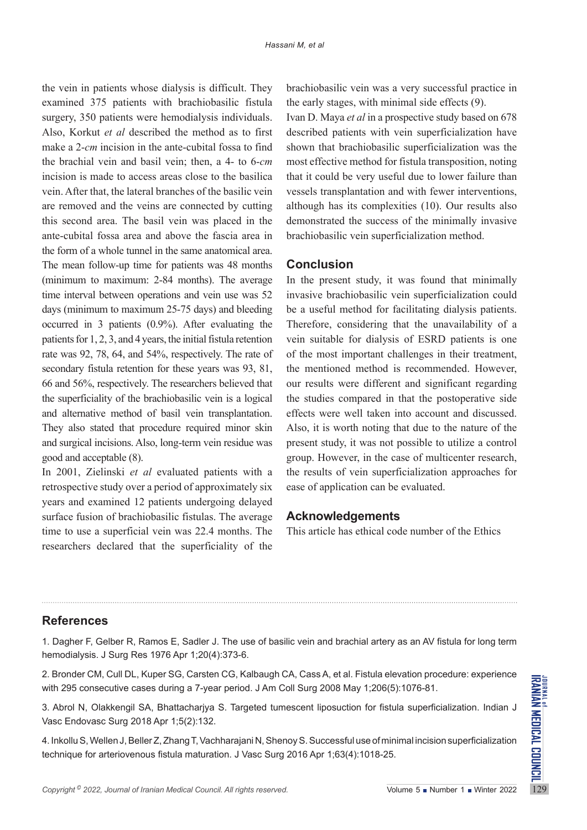the vein in patients whose dialysis is difficult. They examined 375 patients with brachiobasilic fistula surgery, 350 patients were hemodialysis individuals. Also, Korkut *et al* described the method as to first make a 2-*cm* incision in the ante-cubital fossa to find the brachial vein and basil vein; then, a 4- to 6-*cm* incision is made to access areas close to the basilica vein. After that, the lateral branches of the basilic vein are removed and the veins are connected by cutting this second area. The basil vein was placed in the ante-cubital fossa area and above the fascia area in the form of a whole tunnel in the same anatomical area. The mean follow-up time for patients was 48 months (minimum to maximum: 2-84 months). The average time interval between operations and vein use was 52 days (minimum to maximum 25-75 days) and bleeding occurred in 3 patients (0.9%). After evaluating the patients for 1, 2, 3, and 4 years, the initial fistula retention rate was 92, 78, 64, and 54%, respectively. The rate of secondary fistula retention for these years was 93, 81, 66 and 56%, respectively. The researchers believed that the superficiality of the brachiobasilic vein is a logical and alternative method of basil vein transplantation. They also stated that procedure required minor skin and surgical incisions. Also, long-term vein residue was good and acceptable (8).

In 2001, Zielinski *et al* evaluated patients with a retrospective study over a period of approximately six years and examined 12 patients undergoing delayed surface fusion of brachiobasilic fistulas. The average time to use a superficial vein was 22.4 months. The researchers declared that the superficiality of the

brachiobasilic vein was a very successful practice in the early stages, with minimal side effects (9).

Ivan D. Maya *et al* in a prospective study based on 678 described patients with vein superficialization have shown that brachiobasilic superficialization was the most effective method for fistula transposition, noting that it could be very useful due to lower failure than vessels transplantation and with fewer interventions, although has its complexities (10). Our results also demonstrated the success of the minimally invasive brachiobasilic vein superficialization method.

## **Conclusion**

In the present study, it was found that minimally invasive brachiobasilic vein superficialization could be a useful method for facilitating dialysis patients. Therefore, considering that the unavailability of a vein suitable for dialysis of ESRD patients is one of the most important challenges in their treatment, the mentioned method is recommended. However, our results were different and significant regarding the studies compared in that the postoperative side effects were well taken into account and discussed. Also, it is worth noting that due to the nature of the present study, it was not possible to utilize a control group. However, in the case of multicenter research, the results of vein superficialization approaches for ease of application can be evaluated.

#### **Acknowledgements**

This article has ethical code number of the Ethics

## **References**

1. Dagher F, Gelber R, Ramos E, Sadler J. The use of basilic vein and brachial artery as an AV fistula for long term hemodialysis. J Surg Res 1976 Apr 1;20(4):373-6.

2. Bronder CM, Cull DL, Kuper SG, Carsten CG, Kalbaugh CA, Cass A, et al. Fistula elevation procedure: experience with 295 consecutive cases during a 7-year period. J Am Coll Surg 2008 May 1;206(5):1076-81.

3. Abrol N, Olakkengil SA, Bhattacharjya S. Targeted tumescent liposuction for fistula superficialization. Indian J Vasc Endovasc Surg 2018 Apr 1;5(2):132.

2. Bronder Civi, Culi DL, Ruper SG, Carsten CG, Raibaugh CA, Cass A, et al. Fistula elevation procedure: experience<br>with 295 consecutive cases during a 7-year period. J Am Coll Surg 2008 May 1;206(5):1076-81.<br>3. Abrol N, 4. Inkollu S, Wellen J, Beller Z, Zhang T, Vachharajani N, Shenoy S. Successful use of minimal incision superficialization technique for arteriovenous fistula maturation. J Vasc Surg 2016 Apr 1;63(4):1018-25.